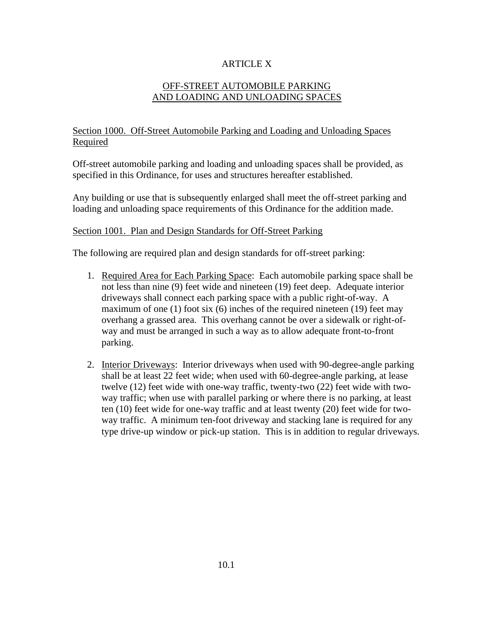# ARTICLE X

# OFF-STREET AUTOMOBILE PARKING AND LOADING AND UNLOADING SPACES

## Section 1000. Off-Street Automobile Parking and Loading and Unloading Spaces Required

Off-street automobile parking and loading and unloading spaces shall be provided, as specified in this Ordinance, for uses and structures hereafter established.

Any building or use that is subsequently enlarged shall meet the off-street parking and loading and unloading space requirements of this Ordinance for the addition made.

#### Section 1001. Plan and Design Standards for Off-Street Parking

The following are required plan and design standards for off-street parking:

- 1. Required Area for Each Parking Space: Each automobile parking space shall be not less than nine (9) feet wide and nineteen (19) feet deep. Adequate interior driveways shall connect each parking space with a public right-of-way. A maximum of one (1) foot six (6) inches of the required nineteen (19) feet may overhang a grassed area. This overhang cannot be over a sidewalk or right-ofway and must be arranged in such a way as to allow adequate front-to-front parking.
- 2. Interior Driveways: Interior driveways when used with 90-degree-angle parking shall be at least 22 feet wide; when used with 60-degree-angle parking, at lease twelve (12) feet wide with one-way traffic, twenty-two (22) feet wide with twoway traffic; when use with parallel parking or where there is no parking, at least ten (10) feet wide for one-way traffic and at least twenty (20) feet wide for twoway traffic. A minimum ten-foot driveway and stacking lane is required for any type drive-up window or pick-up station. This is in addition to regular driveways.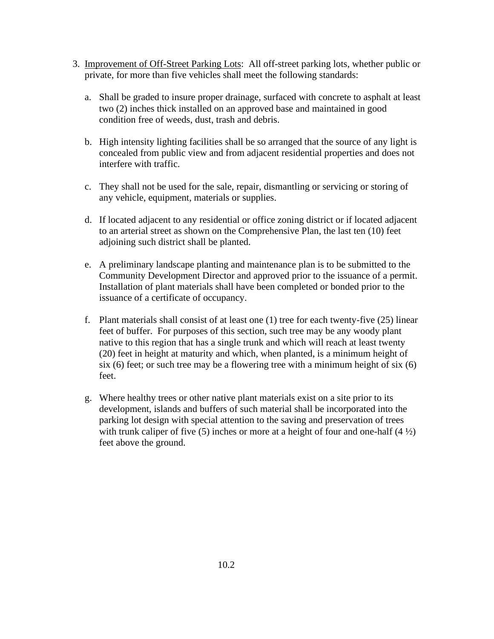- 3. Improvement of Off-Street Parking Lots: All off-street parking lots, whether public or private, for more than five vehicles shall meet the following standards:
	- a. Shall be graded to insure proper drainage, surfaced with concrete to asphalt at least two (2) inches thick installed on an approved base and maintained in good condition free of weeds, dust, trash and debris.
	- b. High intensity lighting facilities shall be so arranged that the source of any light is concealed from public view and from adjacent residential properties and does not interfere with traffic.
	- c. They shall not be used for the sale, repair, dismantling or servicing or storing of any vehicle, equipment, materials or supplies.
	- d. If located adjacent to any residential or office zoning district or if located adjacent to an arterial street as shown on the Comprehensive Plan, the last ten (10) feet adjoining such district shall be planted.
	- e. A preliminary landscape planting and maintenance plan is to be submitted to the Community Development Director and approved prior to the issuance of a permit. Installation of plant materials shall have been completed or bonded prior to the issuance of a certificate of occupancy.
	- f. Plant materials shall consist of at least one (1) tree for each twenty-five (25) linear feet of buffer. For purposes of this section, such tree may be any woody plant native to this region that has a single trunk and which will reach at least twenty (20) feet in height at maturity and which, when planted, is a minimum height of six (6) feet; or such tree may be a flowering tree with a minimum height of six (6) feet.
	- g. Where healthy trees or other native plant materials exist on a site prior to its development, islands and buffers of such material shall be incorporated into the parking lot design with special attention to the saving and preservation of trees with trunk caliper of five (5) inches or more at a height of four and one-half  $(4\frac{1}{2})$ feet above the ground.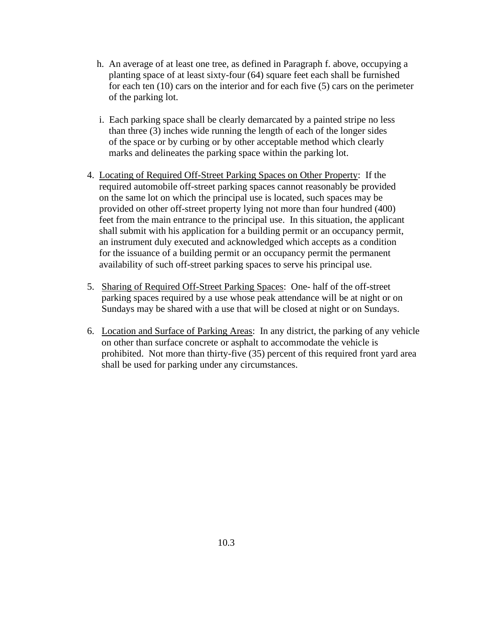- h. An average of at least one tree, as defined in Paragraph f. above, occupying a planting space of at least sixty-four (64) square feet each shall be furnished for each ten (10) cars on the interior and for each five (5) cars on the perimeter of the parking lot.
- i. Each parking space shall be clearly demarcated by a painted stripe no less than three (3) inches wide running the length of each of the longer sides of the space or by curbing or by other acceptable method which clearly marks and delineates the parking space within the parking lot.
- 4. Locating of Required Off-Street Parking Spaces on Other Property: If the required automobile off-street parking spaces cannot reasonably be provided on the same lot on which the principal use is located, such spaces may be provided on other off-street property lying not more than four hundred (400) feet from the main entrance to the principal use. In this situation, the applicant shall submit with his application for a building permit or an occupancy permit, an instrument duly executed and acknowledged which accepts as a condition for the issuance of a building permit or an occupancy permit the permanent availability of such off-street parking spaces to serve his principal use.
- 5. Sharing of Required Off-Street Parking Spaces: One- half of the off-street parking spaces required by a use whose peak attendance will be at night or on Sundays may be shared with a use that will be closed at night or on Sundays.
- 6. Location and Surface of Parking Areas: In any district, the parking of any vehicle on other than surface concrete or asphalt to accommodate the vehicle is prohibited. Not more than thirty-five (35) percent of this required front yard area shall be used for parking under any circumstances.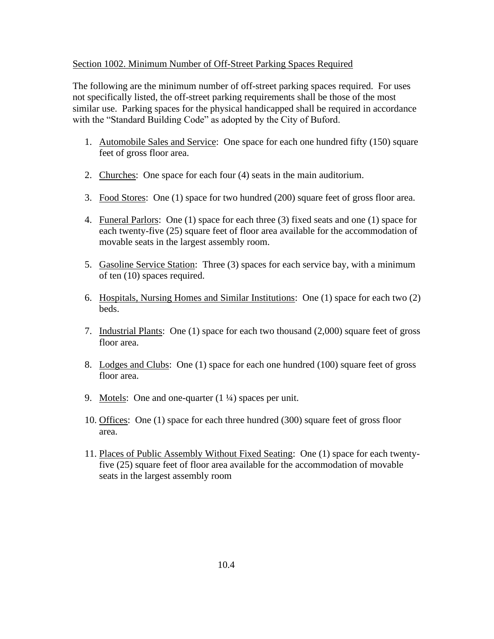#### Section 1002. Minimum Number of Off-Street Parking Spaces Required

The following are the minimum number of off-street parking spaces required. For uses not specifically listed, the off-street parking requirements shall be those of the most similar use. Parking spaces for the physical handicapped shall be required in accordance with the "Standard Building Code" as adopted by the City of Buford.

- 1. Automobile Sales and Service: One space for each one hundred fifty (150) square feet of gross floor area.
- 2. Churches: One space for each four (4) seats in the main auditorium.
- 3. Food Stores: One (1) space for two hundred (200) square feet of gross floor area.
- 4. Funeral Parlors: One (1) space for each three (3) fixed seats and one (1) space for each twenty-five (25) square feet of floor area available for the accommodation of movable seats in the largest assembly room.
- 5. Gasoline Service Station: Three (3) spaces for each service bay, with a minimum of ten (10) spaces required.
- 6. Hospitals, Nursing Homes and Similar Institutions: One (1) space for each two (2) beds.
- 7. Industrial Plants: One (1) space for each two thousand (2,000) square feet of gross floor area.
- 8. Lodges and Clubs: One (1) space for each one hundred (100) square feet of gross floor area.
- 9. Motels: One and one-quarter  $(1\frac{1}{4})$  spaces per unit.
- 10. Offices: One (1) space for each three hundred (300) square feet of gross floor area.
- 11. Places of Public Assembly Without Fixed Seating: One (1) space for each twentyfive (25) square feet of floor area available for the accommodation of movable seats in the largest assembly room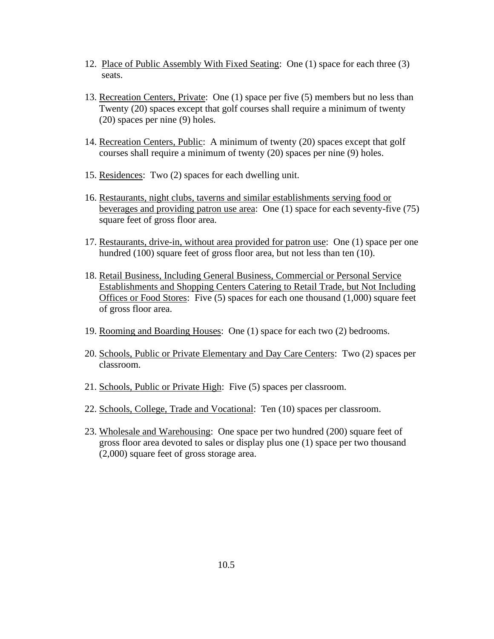- 12. Place of Public Assembly With Fixed Seating: One (1) space for each three (3) seats.
- 13. Recreation Centers, Private: One (1) space per five (5) members but no less than Twenty (20) spaces except that golf courses shall require a minimum of twenty (20) spaces per nine (9) holes.
- 14. Recreation Centers, Public: A minimum of twenty (20) spaces except that golf courses shall require a minimum of twenty (20) spaces per nine (9) holes.
- 15. Residences: Two (2) spaces for each dwelling unit.
- 16. Restaurants, night clubs, taverns and similar establishments serving food or beverages and providing patron use area: One (1) space for each seventy-five (75) square feet of gross floor area.
- 17. Restaurants, drive-in, without area provided for patron use: One (1) space per one hundred (100) square feet of gross floor area, but not less than ten (10).
- 18. Retail Business, Including General Business, Commercial or Personal Service Establishments and Shopping Centers Catering to Retail Trade, but Not Including Offices or Food Stores: Five (5) spaces for each one thousand (1,000) square feet of gross floor area.
- 19. Rooming and Boarding Houses: One (1) space for each two (2) bedrooms.
- 20. Schools, Public or Private Elementary and Day Care Centers: Two (2) spaces per classroom.
- 21. Schools, Public or Private High: Five (5) spaces per classroom.
- 22. Schools, College, Trade and Vocational: Ten (10) spaces per classroom.
- 23. Wholesale and Warehousing: One space per two hundred (200) square feet of gross floor area devoted to sales or display plus one (1) space per two thousand (2,000) square feet of gross storage area.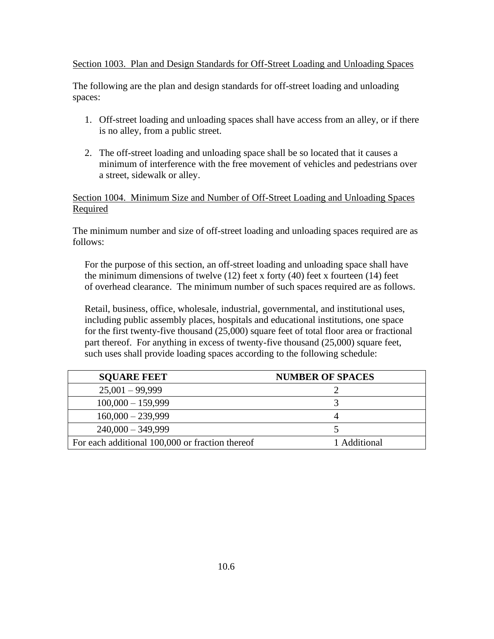#### Section 1003. Plan and Design Standards for Off-Street Loading and Unloading Spaces

The following are the plan and design standards for off-street loading and unloading spaces:

- 1. Off-street loading and unloading spaces shall have access from an alley, or if there is no alley, from a public street.
- 2. The off-street loading and unloading space shall be so located that it causes a minimum of interference with the free movement of vehicles and pedestrians over a street, sidewalk or alley.

### Section 1004. Minimum Size and Number of Off-Street Loading and Unloading Spaces Required

The minimum number and size of off-street loading and unloading spaces required are as follows:

 For the purpose of this section, an off-street loading and unloading space shall have the minimum dimensions of twelve  $(12)$  feet x forty  $(40)$  feet x fourteen  $(14)$  feet of overhead clearance. The minimum number of such spaces required are as follows.

 Retail, business, office, wholesale, industrial, governmental, and institutional uses, including public assembly places, hospitals and educational institutions, one space for the first twenty-five thousand (25,000) square feet of total floor area or fractional part thereof. For anything in excess of twenty-five thousand (25,000) square feet, such uses shall provide loading spaces according to the following schedule:

| <b>SOUARE FEET</b>                              | <b>NUMBER OF SPACES</b> |
|-------------------------------------------------|-------------------------|
| $25,001 - 99,999$                               |                         |
| $100,000 - 159,999$                             |                         |
| $160,000 - 239,999$                             |                         |
| $240,000 - 349,999$                             |                         |
| For each additional 100,000 or fraction thereof | 1 Additional            |